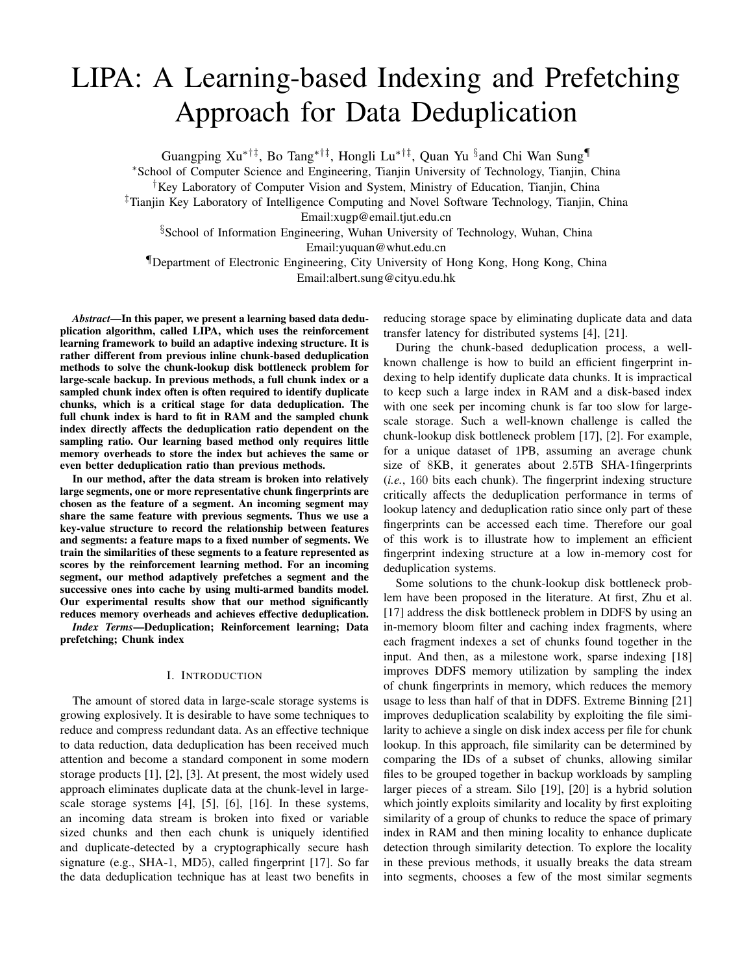# LIPA: A Learning-based Indexing and Prefetching Approach for Data Deduplication

Guangping Xu<sup>∗†‡</sup>, Bo Tang<sup>∗†‡</sup>, Hongli Lu<sup>∗†‡</sup>, Quan Yu <sup>§</sup>and Chi Wan Sung¶

<sup>∗</sup>School of Computer Science and Engineering, Tianjin University of Technology, Tianjin, China

†Key Laboratory of Computer Vision and System, Ministry of Education, Tianjin, China

‡Tianjin Key Laboratory of Intelligence Computing and Novel Software Technology, Tianjin, China

Email:xugp@email.tjut.edu.cn

§School of Information Engineering, Wuhan University of Technology, Wuhan, China Email:yuquan@whut.edu.cn

¶Department of Electronic Engineering, City University of Hong Kong, Hong Kong, China Email:albert.sung@cityu.edu.hk

*Abstract*—In this paper, we present a learning based data deduplication algorithm, called LIPA, which uses the reinforcement learning framework to build an adaptive indexing structure. It is rather different from previous inline chunk-based deduplication methods to solve the chunk-lookup disk bottleneck problem for large-scale backup. In previous methods, a full chunk index or a sampled chunk index often is often required to identify duplicate chunks, which is a critical stage for data deduplication. The full chunk index is hard to fit in RAM and the sampled chunk index directly affects the deduplication ratio dependent on the sampling ratio. Our learning based method only requires little memory overheads to store the index but achieves the same or even better deduplication ratio than previous methods.

In our method, after the data stream is broken into relatively large segments, one or more representative chunk fingerprints are chosen as the feature of a segment. An incoming segment may share the same feature with previous segments. Thus we use a key-value structure to record the relationship between features and segments: a feature maps to a fixed number of segments. We train the similarities of these segments to a feature represented as scores by the reinforcement learning method. For an incoming segment, our method adaptively prefetches a segment and the successive ones into cache by using multi-armed bandits model. Our experimental results show that our method significantly reduces memory overheads and achieves effective deduplication.

*Index Terms*—Deduplication; Reinforcement learning; Data prefetching; Chunk index

#### I. INTRODUCTION

The amount of stored data in large-scale storage systems is growing explosively. It is desirable to have some techniques to reduce and compress redundant data. As an effective technique to data reduction, data deduplication has been received much attention and become a standard component in some modern storage products [1], [2], [3]. At present, the most widely used approach eliminates duplicate data at the chunk-level in largescale storage systems [4], [5], [6], [16]. In these systems, an incoming data stream is broken into fixed or variable sized chunks and then each chunk is uniquely identified and duplicate-detected by a cryptographically secure hash signature (e.g., SHA-1, MD5), called fingerprint [17]. So far the data deduplication technique has at least two benefits in reducing storage space by eliminating duplicate data and data transfer latency for distributed systems [4], [21].

During the chunk-based deduplication process, a wellknown challenge is how to build an efficient fingerprint indexing to help identify duplicate data chunks. It is impractical to keep such a large index in RAM and a disk-based index with one seek per incoming chunk is far too slow for largescale storage. Such a well-known challenge is called the chunk-lookup disk bottleneck problem [17], [2]. For example, for a unique dataset of 1PB, assuming an average chunk size of 8KB, it generates about 2.5TB SHA-1fingerprints (*i.e.*, 160 bits each chunk). The fingerprint indexing structure critically affects the deduplication performance in terms of lookup latency and deduplication ratio since only part of these fingerprints can be accessed each time. Therefore our goal of this work is to illustrate how to implement an efficient fingerprint indexing structure at a low in-memory cost for deduplication systems.

Some solutions to the chunk-lookup disk bottleneck problem have been proposed in the literature. At first, Zhu et al. [17] address the disk bottleneck problem in DDFS by using an in-memory bloom filter and caching index fragments, where each fragment indexes a set of chunks found together in the input. And then, as a milestone work, sparse indexing [18] improves DDFS memory utilization by sampling the index of chunk fingerprints in memory, which reduces the memory usage to less than half of that in DDFS. Extreme Binning [21] improves deduplication scalability by exploiting the file similarity to achieve a single on disk index access per file for chunk lookup. In this approach, file similarity can be determined by comparing the IDs of a subset of chunks, allowing similar files to be grouped together in backup workloads by sampling larger pieces of a stream. Silo [19], [20] is a hybrid solution which jointly exploits similarity and locality by first exploiting similarity of a group of chunks to reduce the space of primary index in RAM and then mining locality to enhance duplicate detection through similarity detection. To explore the locality in these previous methods, it usually breaks the data stream into segments, chooses a few of the most similar segments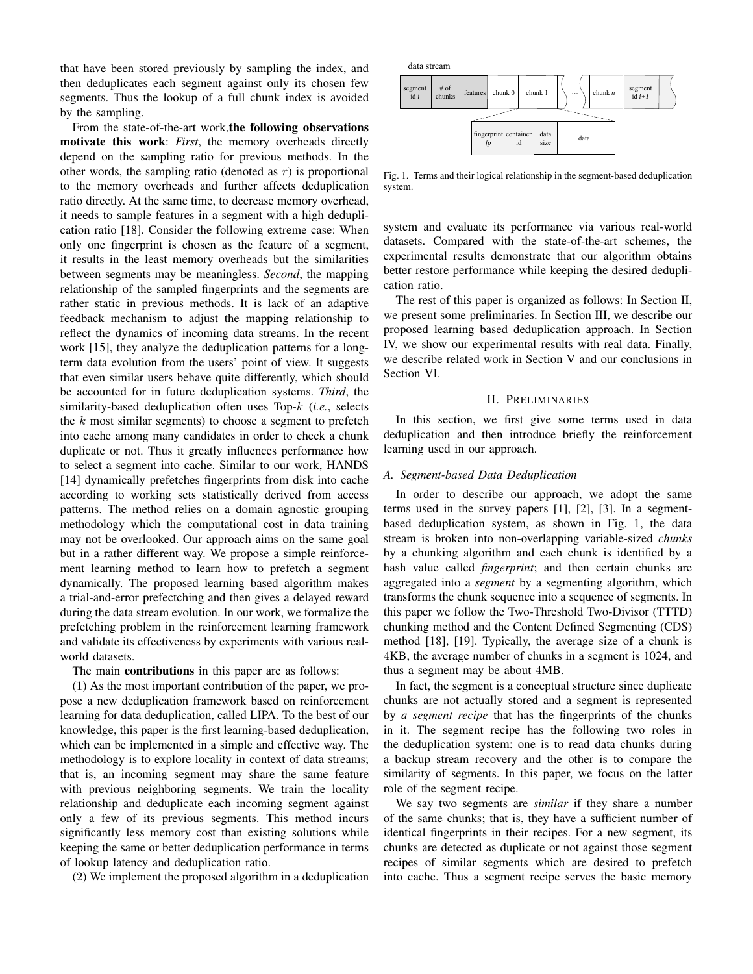that have been stored previously by sampling the index, and then deduplicates each segment against only its chosen few segments. Thus the lookup of a full chunk index is avoided by the sampling.

From the state-of-the-art work,the following observations motivate this work: *First*, the memory overheads directly depend on the sampling ratio for previous methods. In the other words, the sampling ratio (denoted as  $r$ ) is proportional to the memory overheads and further affects deduplication ratio directly. At the same time, to decrease memory overhead, it needs to sample features in a segment with a high deduplication ratio [18]. Consider the following extreme case: When only one fingerprint is chosen as the feature of a segment, it results in the least memory overheads but the similarities between segments may be meaningless. *Second*, the mapping relationship of the sampled fingerprints and the segments are rather static in previous methods. It is lack of an adaptive feedback mechanism to adjust the mapping relationship to reflect the dynamics of incoming data streams. In the recent work [15], they analyze the deduplication patterns for a longterm data evolution from the users' point of view. It suggests that even similar users behave quite differently, which should be accounted for in future deduplication systems. *Third*, the similarity-based deduplication often uses Top-k (*i.e.*, selects the  $k$  most similar segments) to choose a segment to prefetch into cache among many candidates in order to check a chunk duplicate or not. Thus it greatly influences performance how to select a segment into cache. Similar to our work, HANDS [14] dynamically prefetches fingerprints from disk into cache according to working sets statistically derived from access patterns. The method relies on a domain agnostic grouping methodology which the computational cost in data training may not be overlooked. Our approach aims on the same goal but in a rather different way. We propose a simple reinforcement learning method to learn how to prefetch a segment dynamically. The proposed learning based algorithm makes a trial-and-error prefectching and then gives a delayed reward during the data stream evolution. In our work, we formalize the prefetching problem in the reinforcement learning framework and validate its effectiveness by experiments with various realworld datasets.

The main contributions in this paper are as follows:

(1) As the most important contribution of the paper, we propose a new deduplication framework based on reinforcement learning for data deduplication, called LIPA. To the best of our knowledge, this paper is the first learning-based deduplication, which can be implemented in a simple and effective way. The methodology is to explore locality in context of data streams; that is, an incoming segment may share the same feature with previous neighboring segments. We train the locality relationship and deduplicate each incoming segment against only a few of its previous segments. This method incurs significantly less memory cost than existing solutions while keeping the same or better deduplication performance in terms of lookup latency and deduplication ratio.

(2) We implement the proposed algorithm in a deduplication



Fig. 1. Terms and their logical relationship in the segment-based deduplication system.

system and evaluate its performance via various real-world datasets. Compared with the state-of-the-art schemes, the experimental results demonstrate that our algorithm obtains better restore performance while keeping the desired deduplication ratio.

The rest of this paper is organized as follows: In Section II, we present some preliminaries. In Section III, we describe our proposed learning based deduplication approach. In Section IV, we show our experimental results with real data. Finally, we describe related work in Section V and our conclusions in Section VI.

## II. PRELIMINARIES

In this section, we first give some terms used in data deduplication and then introduce briefly the reinforcement learning used in our approach.

## *A. Segment-based Data Deduplication*

In order to describe our approach, we adopt the same terms used in the survey papers [1], [2], [3]. In a segmentbased deduplication system, as shown in Fig. 1, the data stream is broken into non-overlapping variable-sized *chunks* by a chunking algorithm and each chunk is identified by a hash value called *fingerprint*; and then certain chunks are aggregated into a *segment* by a segmenting algorithm, which transforms the chunk sequence into a sequence of segments. In this paper we follow the Two-Threshold Two-Divisor (TTTD) chunking method and the Content Defined Segmenting (CDS) method [18], [19]. Typically, the average size of a chunk is 4KB, the average number of chunks in a segment is 1024, and thus a segment may be about 4MB.

In fact, the segment is a conceptual structure since duplicate chunks are not actually stored and a segment is represented by *a segment recipe* that has the fingerprints of the chunks in it. The segment recipe has the following two roles in the deduplication system: one is to read data chunks during a backup stream recovery and the other is to compare the similarity of segments. In this paper, we focus on the latter role of the segment recipe.

We say two segments are *similar* if they share a number of the same chunks; that is, they have a sufficient number of identical fingerprints in their recipes. For a new segment, its chunks are detected as duplicate or not against those segment recipes of similar segments which are desired to prefetch into cache. Thus a segment recipe serves the basic memory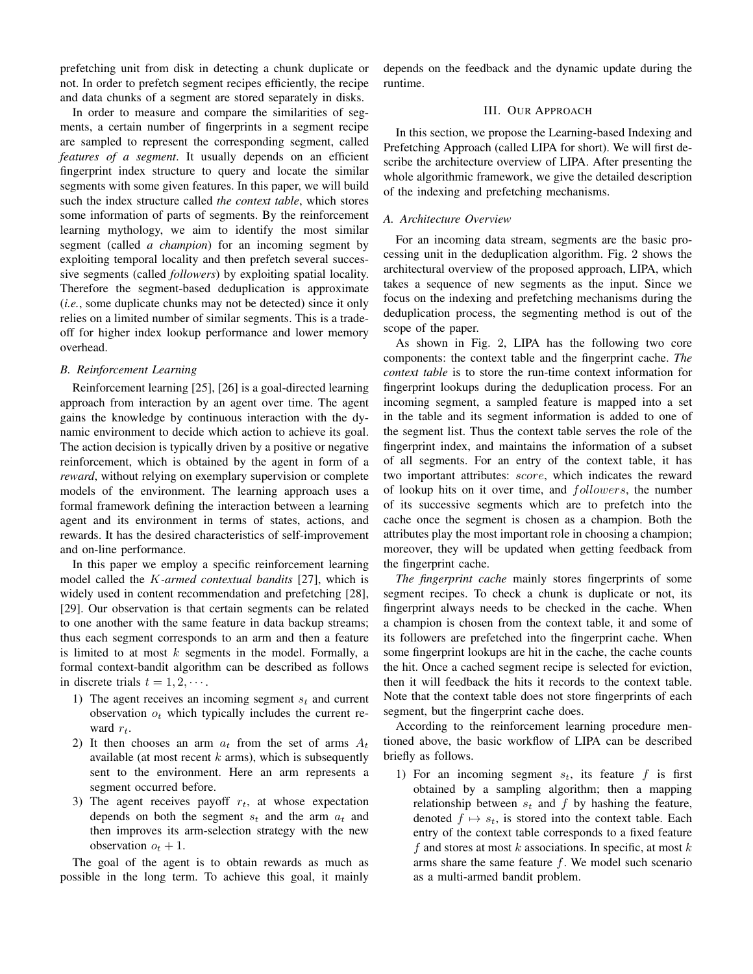prefetching unit from disk in detecting a chunk duplicate or not. In order to prefetch segment recipes efficiently, the recipe and data chunks of a segment are stored separately in disks.

In order to measure and compare the similarities of segments, a certain number of fingerprints in a segment recipe are sampled to represent the corresponding segment, called *features of a segment*. It usually depends on an efficient fingerprint index structure to query and locate the similar segments with some given features. In this paper, we will build such the index structure called *the context table*, which stores some information of parts of segments. By the reinforcement learning mythology, we aim to identify the most similar segment (called *a champion*) for an incoming segment by exploiting temporal locality and then prefetch several successive segments (called *followers*) by exploiting spatial locality. Therefore the segment-based deduplication is approximate (*i.e.*, some duplicate chunks may not be detected) since it only relies on a limited number of similar segments. This is a tradeoff for higher index lookup performance and lower memory overhead.

#### *B. Reinforcement Learning*

Reinforcement learning [25], [26] is a goal-directed learning approach from interaction by an agent over time. The agent gains the knowledge by continuous interaction with the dynamic environment to decide which action to achieve its goal. The action decision is typically driven by a positive or negative reinforcement, which is obtained by the agent in form of a *reward*, without relying on exemplary supervision or complete models of the environment. The learning approach uses a formal framework defining the interaction between a learning agent and its environment in terms of states, actions, and rewards. It has the desired characteristics of self-improvement and on-line performance.

In this paper we employ a specific reinforcement learning model called the K*-armed contextual bandits* [27], which is widely used in content recommendation and prefetching [28], [29]. Our observation is that certain segments can be related to one another with the same feature in data backup streams; thus each segment corresponds to an arm and then a feature is limited to at most  $k$  segments in the model. Formally, a formal context-bandit algorithm can be described as follows in discrete trials  $t = 1, 2, \cdots$ .

- 1) The agent receives an incoming segment  $s_t$  and current observation  $o_t$  which typically includes the current reward  $r_t$ .
- 2) It then chooses an arm  $a_t$  from the set of arms  $A_t$ available (at most recent  $k$  arms), which is subsequently sent to the environment. Here an arm represents a segment occurred before.
- 3) The agent receives payoff  $r_t$ , at whose expectation depends on both the segment  $s_t$  and the arm  $a_t$  and then improves its arm-selection strategy with the new observation  $o_t + 1$ .

The goal of the agent is to obtain rewards as much as possible in the long term. To achieve this goal, it mainly

depends on the feedback and the dynamic update during the runtime.

## III. OUR APPROACH

In this section, we propose the Learning-based Indexing and Prefetching Approach (called LIPA for short). We will first describe the architecture overview of LIPA. After presenting the whole algorithmic framework, we give the detailed description of the indexing and prefetching mechanisms.

#### *A. Architecture Overview*

For an incoming data stream, segments are the basic processing unit in the deduplication algorithm. Fig. 2 shows the architectural overview of the proposed approach, LIPA, which takes a sequence of new segments as the input. Since we focus on the indexing and prefetching mechanisms during the deduplication process, the segmenting method is out of the scope of the paper.

As shown in Fig. 2, LIPA has the following two core components: the context table and the fingerprint cache. *The context table* is to store the run-time context information for fingerprint lookups during the deduplication process. For an incoming segment, a sampled feature is mapped into a set in the table and its segment information is added to one of the segment list. Thus the context table serves the role of the fingerprint index, and maintains the information of a subset of all segments. For an entry of the context table, it has two important attributes: score, which indicates the reward of lookup hits on it over time, and followers, the number of its successive segments which are to prefetch into the cache once the segment is chosen as a champion. Both the attributes play the most important role in choosing a champion; moreover, they will be updated when getting feedback from the fingerprint cache.

*The fingerprint cache* mainly stores fingerprints of some segment recipes. To check a chunk is duplicate or not, its fingerprint always needs to be checked in the cache. When a champion is chosen from the context table, it and some of its followers are prefetched into the fingerprint cache. When some fingerprint lookups are hit in the cache, the cache counts the hit. Once a cached segment recipe is selected for eviction, then it will feedback the hits it records to the context table. Note that the context table does not store fingerprints of each segment, but the fingerprint cache does.

According to the reinforcement learning procedure mentioned above, the basic workflow of LIPA can be described briefly as follows.

1) For an incoming segment  $s_t$ , its feature f is first obtained by a sampling algorithm; then a mapping relationship between  $s_t$  and f by hashing the feature, denoted  $f \mapsto s_t$ , is stored into the context table. Each entry of the context table corresponds to a fixed feature f and stores at most  $k$  associations. In specific, at most  $k$ arms share the same feature f. We model such scenario as a multi-armed bandit problem.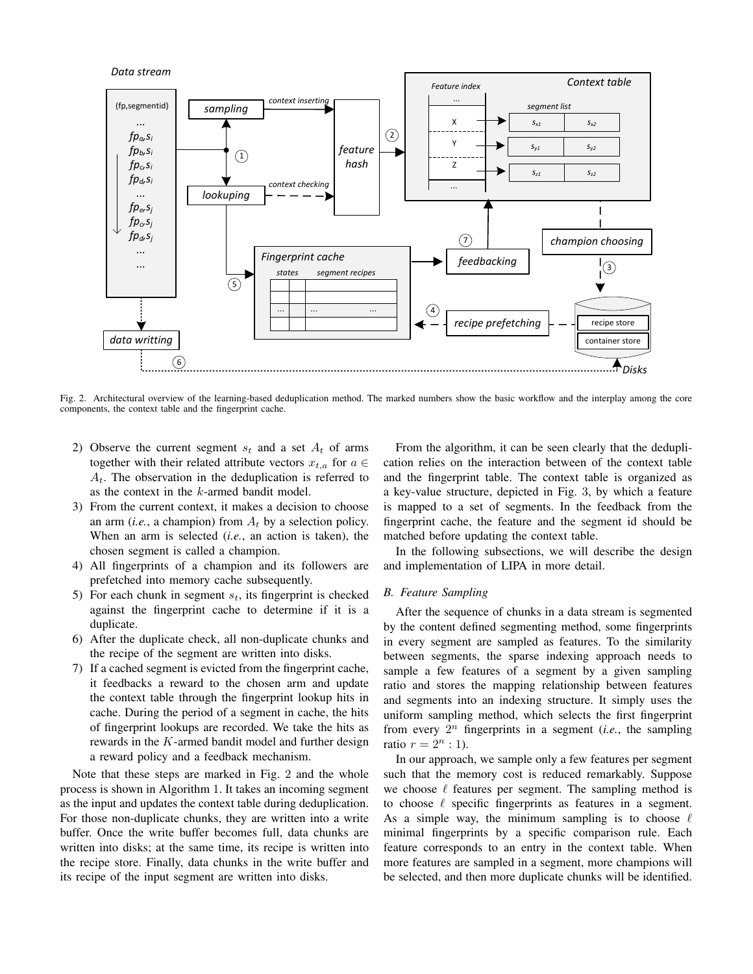

Fig. 2. Architectural overview of the learning-based deduplication method. The marked numbers show the basic workflow and the interplay among the core components, the context table and the fingerprint cache.

- 2) Observe the current segment  $s_t$  and a set  $A_t$  of arms together with their related attribute vectors  $x_{t,a}$  for  $a \in$  $A_t$ . The observation in the deduplication is referred to as the context in the k-armed bandit model.
- 3) From the current context, it makes a decision to choose an arm  $(i.e., a$  champion) from  $A_t$  by a selection policy. When an arm is selected (*i.e.*, an action is taken), the chosen segment is called a champion.
- 4) All fingerprints of a champion and its followers are prefetched into memory cache subsequently.
- 5) For each chunk in segment  $s_t$ , its fingerprint is checked against the fingerprint cache to determine if it is a duplicate.
- 6) After the duplicate check, all non-duplicate chunks and the recipe of the segment are written into disks.
- 7) If a cached segment is evicted from the fingerprint cache, it feedbacks a reward to the chosen arm and update the context table through the fingerprint lookup hits in cache. During the period of a segment in cache, the hits of fingerprint lookups are recorded. We take the hits as rewards in the K-armed bandit model and further design a reward policy and a feedback mechanism.

Note that these steps are marked in Fig. 2 and the whole process is shown in Algorithm 1. It takes an incoming segment as the input and updates the context table during deduplication. For those non-duplicate chunks, they are written into a write buffer. Once the write buffer becomes full, data chunks are written into disks; at the same time, its recipe is written into the recipe store. Finally, data chunks in the write buffer and its recipe of the input segment are written into disks.

From the algorithm, it can be seen clearly that the deduplication relies on the interaction between of the context table and the fingerprint table. The context table is organized as a key-value structure, depicted in Fig. 3, by which a feature is mapped to a set of segments. In the feedback from the fingerprint cache, the feature and the segment id should be matched before updating the context table.

In the following subsections, we will describe the design and implementation of LIPA in more detail.

### *B. Feature Sampling*

After the sequence of chunks in a data stream is segmented by the content defined segmenting method, some fingerprints in every segment are sampled as features. To the similarity between segments, the sparse indexing approach needs to sample a few features of a segment by a given sampling ratio and stores the mapping relationship between features and segments into an indexing structure. It simply uses the uniform sampling method, which selects the first fingerprint from every  $2^n$  fingerprints in a segment (*i.e.*, the sampling ratio  $r = 2^n : 1$ ).

In our approach, we sample only a few features per segment such that the memory cost is reduced remarkably. Suppose we choose  $\ell$  features per segment. The sampling method is to choose  $\ell$  specific fingerprints as features in a segment. As a simple way, the minimum sampling is to choose  $\ell$ minimal fingerprints by a specific comparison rule. Each feature corresponds to an entry in the context table. When more features are sampled in a segment, more champions will be selected, and then more duplicate chunks will be identified.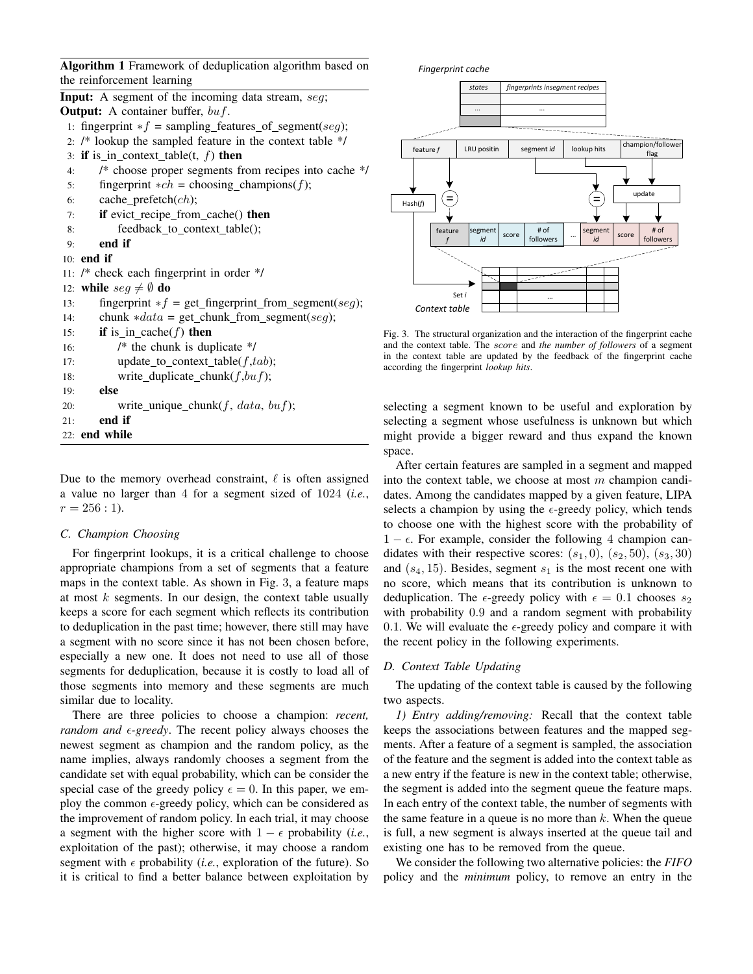Algorithm 1 Framework of deduplication algorithm based on the reinforcement learning

**Input:** A segment of the incoming data stream, seq; **Output:** A container buffer, buf.

- 1: fingerprint  $*f =$  sampling features of segment(seq);
- 2: /\* lookup the sampled feature in the context table \*/
- 3: if is in context table(t,  $f$ ) then
- 4: /\* choose proper segments from recipes into cache \*/
- 5: fingerprint  $*ch = choosing\_champing(f);$
- 6: cache prefetch $(ch);$
- 7: **if** evict\_recipe\_from\_cache() **then**
- 8: feedback\_to\_context\_table();
- 9: end if

## 10: end if

11: /\* check each fingerprint in order \*/

- 12: while  $seq \neq \emptyset$  do
- 13: fingerprint  $*f = get\_fingerprint\_from\_segment(seq);$
- 14: chunk \* $data = get_{chunk}$  from segment(seq);

```
15: if is in cache(f) then
16: /* the chunk is duplicate */
17: update_to_context_table(f, tab);
18: write_duplicate_chunk(f, buf);
19: else
20: write_unique_chunk(f, data, but);
```
- 21: end if 22: end while
- Due to the memory overhead constraint,  $\ell$  is often assigned a value no larger than 4 for a segment sized of 1024 (*i.e.*,  $r = 256 : 1$ .

## *C. Champion Choosing*

For fingerprint lookups, it is a critical challenge to choose appropriate champions from a set of segments that a feature maps in the context table. As shown in Fig. 3, a feature maps at most  $k$  segments. In our design, the context table usually keeps a score for each segment which reflects its contribution to deduplication in the past time; however, there still may have a segment with no score since it has not been chosen before, especially a new one. It does not need to use all of those segments for deduplication, because it is costly to load all of those segments into memory and these segments are much similar due to locality.

There are three policies to choose a champion: *recent, random and*  $\epsilon$ -greedy. The recent policy always chooses the newest segment as champion and the random policy, as the name implies, always randomly chooses a segment from the candidate set with equal probability, which can be consider the special case of the greedy policy  $\epsilon = 0$ . In this paper, we employ the common  $\epsilon$ -greedy policy, which can be considered as the improvement of random policy. In each trial, it may choose a segment with the higher score with  $1 - \epsilon$  probability (*i.e.*, exploitation of the past); otherwise, it may choose a random segment with  $\epsilon$  probability (*i.e.*, exploration of the future). So it is critical to find a better balance between exploitation by



Fig. 3. The structural organization and the interaction of the fingerprint cache and the context table. The score and *the number of followers* of a segment in the context table are updated by the feedback of the fingerprint cache according the fingerprint *lookup hits*.

selecting a segment known to be useful and exploration by selecting a segment whose usefulness is unknown but which might provide a bigger reward and thus expand the known space.

After certain features are sampled in a segment and mapped into the context table, we choose at most  $m$  champion candidates. Among the candidates mapped by a given feature, LIPA selects a champion by using the  $\epsilon$ -greedy policy, which tends to choose one with the highest score with the probability of  $1 - \epsilon$ . For example, consider the following 4 champion candidates with their respective scores:  $(s_1, 0)$ ,  $(s_2, 50)$ ,  $(s_3, 30)$ and  $(s_4, 15)$ . Besides, segment  $s_1$  is the most recent one with no score, which means that its contribution is unknown to deduplication. The  $\epsilon$ -greedy policy with  $\epsilon = 0.1$  chooses  $s_2$ with probability 0.9 and a random segment with probability 0.1. We will evaluate the  $\epsilon$ -greedy policy and compare it with the recent policy in the following experiments.

## *D. Context Table Updating*

The updating of the context table is caused by the following two aspects.

*1) Entry adding/removing:* Recall that the context table keeps the associations between features and the mapped segments. After a feature of a segment is sampled, the association of the feature and the segment is added into the context table as a new entry if the feature is new in the context table; otherwise, the segment is added into the segment queue the feature maps. In each entry of the context table, the number of segments with the same feature in a queue is no more than  $k$ . When the queue is full, a new segment is always inserted at the queue tail and existing one has to be removed from the queue.

We consider the following two alternative policies: the *FIFO* policy and the *minimum* policy, to remove an entry in the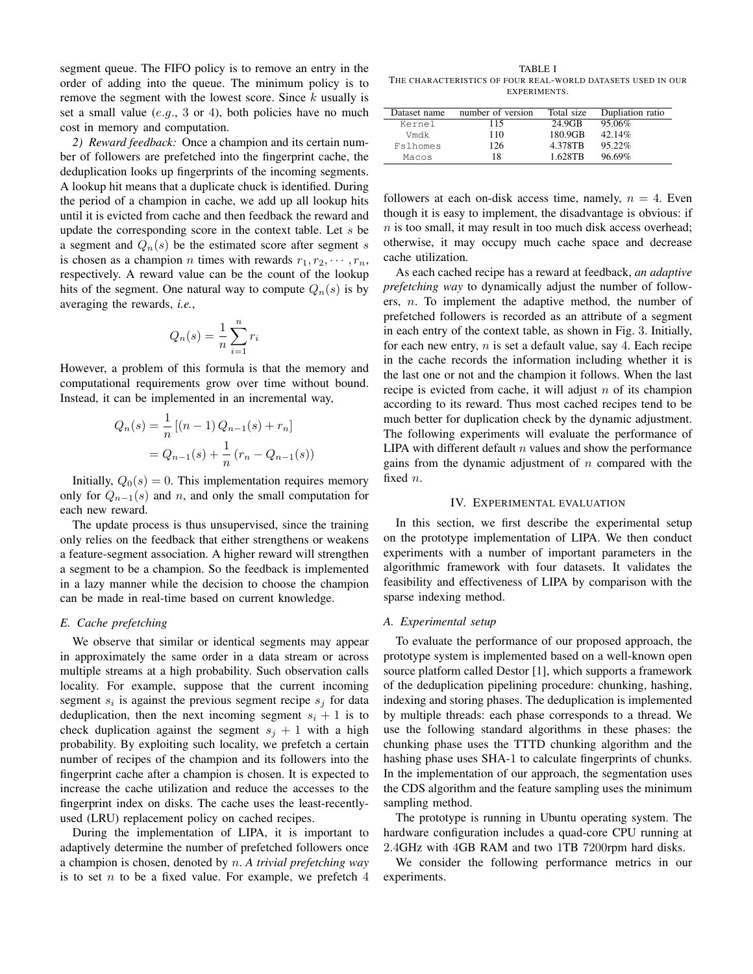segment queue. The FIFO policy is to remove an entry in the order of adding into the queue. The minimum policy is to remove the segment with the lowest score. Since  $k$  usually is set a small value  $(e.g., 3 \text{ or } 4)$ , both policies have no much cost in memory and computation.

*2) Reward feedback:* Once a champion and its certain number of followers are prefetched into the fingerprint cache, the deduplication looks up fingerprints of the incoming segments. A lookup hit means that a duplicate chuck is identified. During the period of a champion in cache, we add up all lookup hits until it is evicted from cache and then feedback the reward and update the corresponding score in the context table. Let  $s$  be a segment and  $Q_n(s)$  be the estimated score after segment s is chosen as a champion *n* times with rewards  $r_1, r_2, \cdots, r_n$ , respectively. A reward value can be the count of the lookup hits of the segment. One natural way to compute  $Q_n(s)$  is by averaging the rewards, *i.e.*,

$$
Q_n(s) = \frac{1}{n} \sum_{i=1}^n r_i
$$

However, a problem of this formula is that the memory and computational requirements grow over time without bound. Instead, it can be implemented in an incremental way,

$$
Q_n(s) = \frac{1}{n} [(n-1) Q_{n-1}(s) + r_n]
$$
  
=  $Q_{n-1}(s) + \frac{1}{n} (r_n - Q_{n-1}(s))$ 

Initially,  $Q_0(s) = 0$ . This implementation requires memory only for  $Q_{n-1}(s)$  and n, and only the small computation for each new reward.

The update process is thus unsupervised, since the training only relies on the feedback that either strengthens or weakens a feature-segment association. A higher reward will strengthen a segment to be a champion. So the feedback is implemented in a lazy manner while the decision to choose the champion can be made in real-time based on current knowledge.

#### *E. Cache prefetching*

We observe that similar or identical segments may appear in approximately the same order in a data stream or across multiple streams at a high probability. Such observation calls locality. For example, suppose that the current incoming segment  $s_i$  is against the previous segment recipe  $s_j$  for data deduplication, then the next incoming segment  $s_i + 1$  is to check duplication against the segment  $s_j + 1$  with a high probability. By exploiting such locality, we prefetch a certain number of recipes of the champion and its followers into the fingerprint cache after a champion is chosen. It is expected to increase the cache utilization and reduce the accesses to the fingerprint index on disks. The cache uses the least-recentlyused (LRU) replacement policy on cached recipes.

During the implementation of LIPA, it is important to adaptively determine the number of prefetched followers once a champion is chosen, denoted by n. *A trivial prefetching way* is to set n to be a fixed value. For example, we prefetch  $4$ 

TABLE I THE CHARACTERISTICS OF FOUR REAL-WORLD DATASETS USED IN OUR EXPERIMENTS.

| Dataset name | number of version | Total size | Dupliation ratio |
|--------------|-------------------|------------|------------------|
| Kernel       | 115               | 24 9GB     | 95.06%           |
| Vmdk         | 110               | 180.9GB    | 42.14%           |
| Fslhomes     | 126               | 4.378TB    | $95.22\%$        |
| Macos        | 18                | 1.628TB    | 96.69%           |

followers at each on-disk access time, namely,  $n = 4$ . Even though it is easy to implement, the disadvantage is obvious: if  $n$  is too small, it may result in too much disk access overhead; otherwise, it may occupy much cache space and decrease cache utilization.

As each cached recipe has a reward at feedback, *an adaptive prefetching way* to dynamically adjust the number of followers, n. To implement the adaptive method, the number of prefetched followers is recorded as an attribute of a segment in each entry of the context table, as shown in Fig. 3. Initially, for each new entry,  $n$  is set a default value, say 4. Each recipe in the cache records the information including whether it is the last one or not and the champion it follows. When the last recipe is evicted from cache, it will adjust  $n$  of its champion according to its reward. Thus most cached recipes tend to be much better for duplication check by the dynamic adjustment. The following experiments will evaluate the performance of LIPA with different default  $n$  values and show the performance gains from the dynamic adjustment of  $n$  compared with the fixed *n*.

#### IV. EXPERIMENTAL EVALUATION

In this section, we first describe the experimental setup on the prototype implementation of LIPA. We then conduct experiments with a number of important parameters in the algorithmic framework with four datasets. It validates the feasibility and effectiveness of LIPA by comparison with the sparse indexing method.

#### *A. Experimental setup*

To evaluate the performance of our proposed approach, the prototype system is implemented based on a well-known open source platform called Destor [1], which supports a framework of the deduplication pipelining procedure: chunking, hashing, indexing and storing phases. The deduplication is implemented by multiple threads: each phase corresponds to a thread. We use the following standard algorithms in these phases: the chunking phase uses the TTTD chunking algorithm and the hashing phase uses SHA-1 to calculate fingerprints of chunks. In the implementation of our approach, the segmentation uses the CDS algorithm and the feature sampling uses the minimum sampling method.

The prototype is running in Ubuntu operating system. The hardware configuration includes a quad-core CPU running at 2.4GHz with 4GB RAM and two 1TB 7200rpm hard disks.

We consider the following performance metrics in our experiments.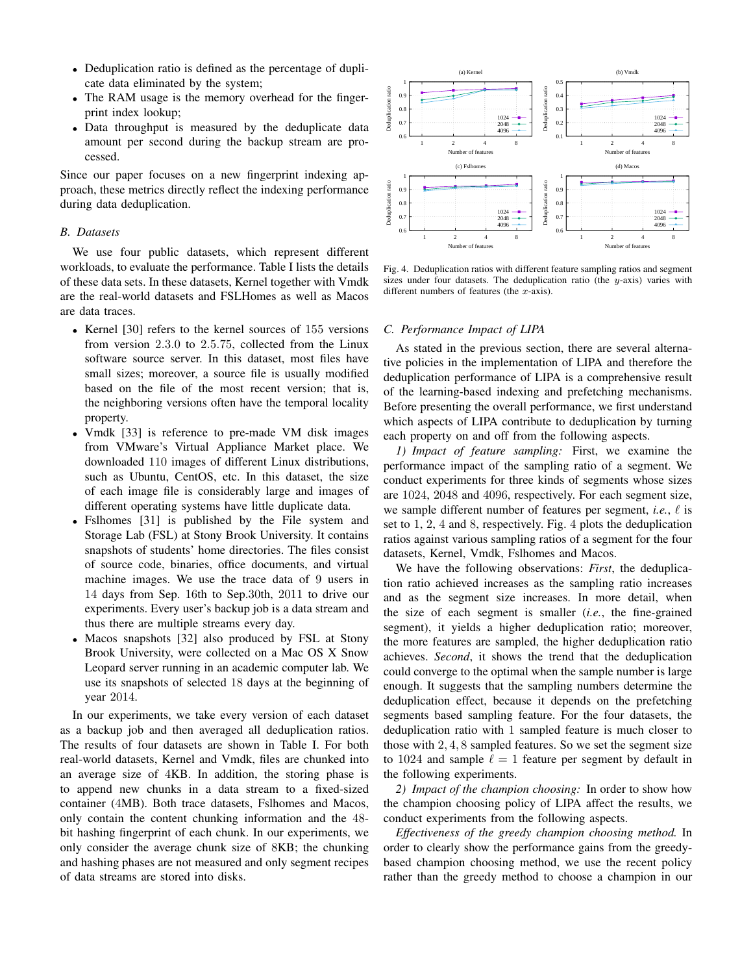- Deduplication ratio is defined as the percentage of duplicate data eliminated by the system;
- The RAM usage is the memory overhead for the fingerprint index lookup;
- Data throughput is measured by the deduplicate data amount per second during the backup stream are processed.

Since our paper focuses on a new fingerprint indexing approach, these metrics directly reflect the indexing performance during data deduplication.

#### *B. Datasets*

We use four public datasets, which represent different workloads, to evaluate the performance. Table I lists the details of these data sets. In these datasets, Kernel together with Vmdk are the real-world datasets and FSLHomes as well as Macos are data traces.

- Kernel [30] refers to the kernel sources of 155 versions from version 2.3.0 to 2.5.75, collected from the Linux software source server. In this dataset, most files have small sizes; moreover, a source file is usually modified based on the file of the most recent version; that is, the neighboring versions often have the temporal locality property.
- Vmdk [33] is reference to pre-made VM disk images from VMware's Virtual Appliance Market place. We downloaded 110 images of different Linux distributions, such as Ubuntu, CentOS, etc. In this dataset, the size of each image file is considerably large and images of different operating systems have little duplicate data.
- Fslhomes [31] is published by the File system and Storage Lab (FSL) at Stony Brook University. It contains snapshots of students' home directories. The files consist of source code, binaries, office documents, and virtual machine images. We use the trace data of 9 users in 14 days from Sep. 16th to Sep.30th, 2011 to drive our experiments. Every user's backup job is a data stream and thus there are multiple streams every day.
- Macos snapshots [32] also produced by FSL at Stony Brook University, were collected on a Mac OS X Snow Leopard server running in an academic computer lab. We use its snapshots of selected 18 days at the beginning of year 2014.

In our experiments, we take every version of each dataset as a backup job and then averaged all deduplication ratios. The results of four datasets are shown in Table I. For both real-world datasets, Kernel and Vmdk, files are chunked into an average size of 4KB. In addition, the storing phase is to append new chunks in a data stream to a fixed-sized container (4MB). Both trace datasets, Fslhomes and Macos, only contain the content chunking information and the 48 bit hashing fingerprint of each chunk. In our experiments, we only consider the average chunk size of 8KB; the chunking and hashing phases are not measured and only segment recipes of data streams are stored into disks.



Fig. 4. Deduplication ratios with different feature sampling ratios and segment sizes under four datasets. The deduplication ratio (the  $y$ -axis) varies with different numbers of features (the  $x$ -axis).

## *C. Performance Impact of LIPA*

As stated in the previous section, there are several alternative policies in the implementation of LIPA and therefore the deduplication performance of LIPA is a comprehensive result of the learning-based indexing and prefetching mechanisms. Before presenting the overall performance, we first understand which aspects of LIPA contribute to deduplication by turning each property on and off from the following aspects.

*1) Impact of feature sampling:* First, we examine the performance impact of the sampling ratio of a segment. We conduct experiments for three kinds of segments whose sizes are 1024, 2048 and 4096, respectively. For each segment size, we sample different number of features per segment, *i.e.*,  $\ell$  is set to 1, 2, 4 and 8, respectively. Fig. 4 plots the deduplication ratios against various sampling ratios of a segment for the four datasets, Kernel, Vmdk, Fslhomes and Macos.

We have the following observations: *First*, the deduplication ratio achieved increases as the sampling ratio increases and as the segment size increases. In more detail, when the size of each segment is smaller (*i.e.*, the fine-grained segment), it yields a higher deduplication ratio; moreover, the more features are sampled, the higher deduplication ratio achieves. *Second*, it shows the trend that the deduplication could converge to the optimal when the sample number is large enough. It suggests that the sampling numbers determine the deduplication effect, because it depends on the prefetching segments based sampling feature. For the four datasets, the deduplication ratio with 1 sampled feature is much closer to those with 2, 4, 8 sampled features. So we set the segment size to 1024 and sample  $\ell = 1$  feature per segment by default in the following experiments.

*2) Impact of the champion choosing:* In order to show how the champion choosing policy of LIPA affect the results, we conduct experiments from the following aspects.

*Effectiveness of the greedy champion choosing method.* In order to clearly show the performance gains from the greedybased champion choosing method, we use the recent policy rather than the greedy method to choose a champion in our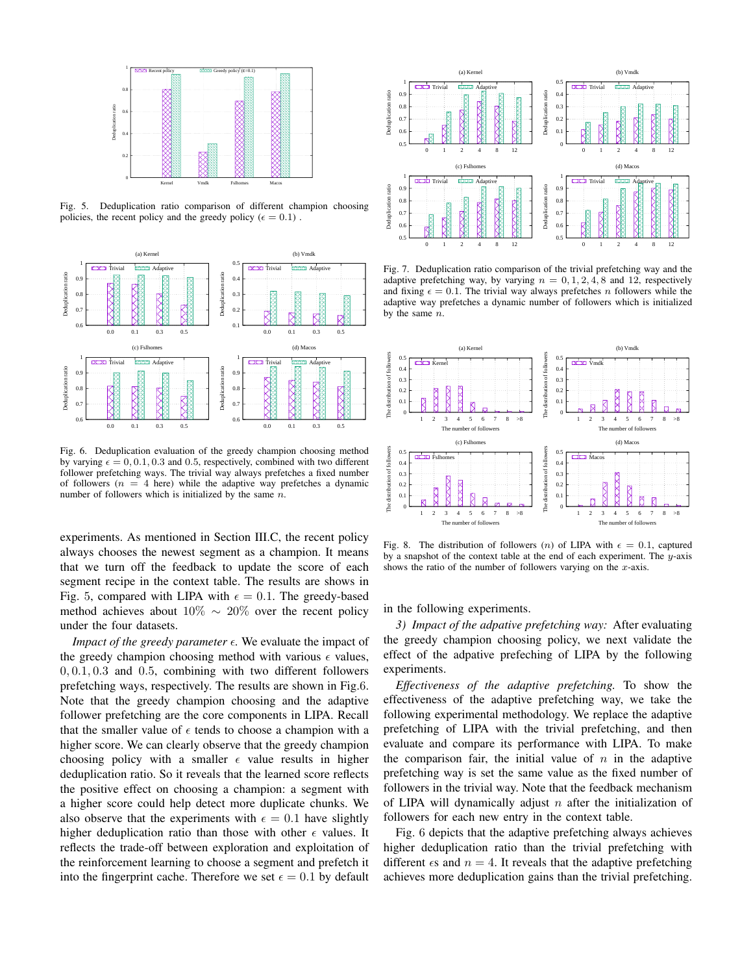

Fig. 5. Deduplication ratio comparison of different champion choosing policies, the recent policy and the greedy policy ( $\epsilon = 0.1$ ).



Fig. 6. Deduplication evaluation of the greedy champion choosing method by varying  $\epsilon = 0, 0.1, 0.3$  and 0.5, respectively, combined with two different follower prefetching ways. The trivial way always prefetches a fixed number of followers ( $n = 4$  here) while the adaptive way prefetches a dynamic number of followers which is initialized by the same  $n$ .

experiments. As mentioned in Section III.C, the recent policy always chooses the newest segment as a champion. It means that we turn off the feedback to update the score of each segment recipe in the context table. The results are shows in Fig. 5, compared with LIPA with  $\epsilon = 0.1$ . The greedy-based method achieves about  $10\% \sim 20\%$  over the recent policy under the four datasets.

*Impact of the greedy parameter*  $\epsilon$ . We evaluate the impact of the greedy champion choosing method with various  $\epsilon$  values,  $0, 0.1, 0.3$  and  $0.5$ , combining with two different followers prefetching ways, respectively. The results are shown in Fig.6. Note that the greedy champion choosing and the adaptive follower prefetching are the core components in LIPA. Recall that the smaller value of  $\epsilon$  tends to choose a champion with a higher score. We can clearly observe that the greedy champion choosing policy with a smaller  $\epsilon$  value results in higher deduplication ratio. So it reveals that the learned score reflects the positive effect on choosing a champion: a segment with a higher score could help detect more duplicate chunks. We also observe that the experiments with  $\epsilon = 0.1$  have slightly higher deduplication ratio than those with other  $\epsilon$  values. It reflects the trade-off between exploration and exploitation of the reinforcement learning to choose a segment and prefetch it into the fingerprint cache. Therefore we set  $\epsilon = 0.1$  by default



Fig. 7. Deduplication ratio comparison of the trivial prefetching way and the adaptive prefetching way, by varying  $n = 0, 1, 2, 4, 8$  and 12, respectively and fixing  $\epsilon = 0.1$ . The trivial way always prefetches *n* followers while the adaptive way prefetches a dynamic number of followers which is initialized by the same  $n$ .



Fig. 8. The distribution of followers (n) of LIPA with  $\epsilon = 0.1$ , captured by a snapshot of the context table at the end of each experiment. The  $y$ -axis shows the ratio of the number of followers varying on the  $x$ -axis.

in the following experiments.

*3) Impact of the adpative prefetching way:* After evaluating the greedy champion choosing policy, we next validate the effect of the adpative prefeching of LIPA by the following experiments.

*Effectiveness of the adaptive prefetching.* To show the effectiveness of the adaptive prefetching way, we take the following experimental methodology. We replace the adaptive prefetching of LIPA with the trivial prefetching, and then evaluate and compare its performance with LIPA. To make the comparison fair, the initial value of  $n$  in the adaptive prefetching way is set the same value as the fixed number of followers in the trivial way. Note that the feedback mechanism of LIPA will dynamically adjust  $n$  after the initialization of followers for each new entry in the context table.

Fig. 6 depicts that the adaptive prefetching always achieves higher deduplication ratio than the trivial prefetching with different  $\epsilon$ s and  $n = 4$ . It reveals that the adaptive prefetching achieves more deduplication gains than the trivial prefetching.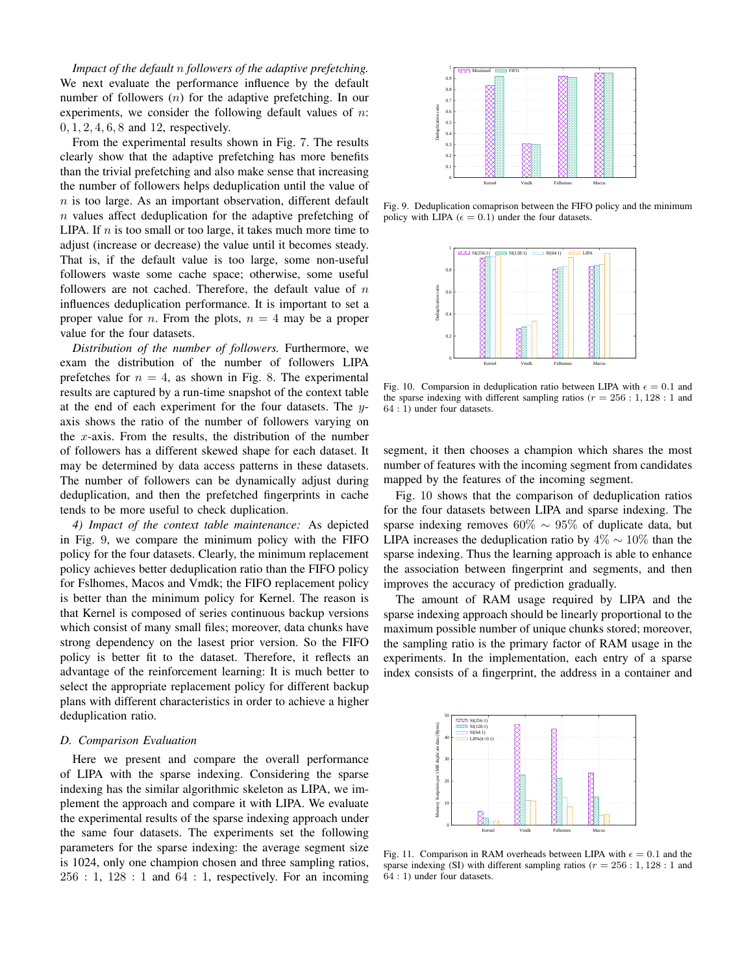*Impact of the default* n *followers of the adaptive prefetching.* We next evaluate the performance influence by the default number of followers  $(n)$  for the adaptive prefetching. In our experiments, we consider the following default values of  $n$ . 0, 1, 2, 4, 6, 8 and 12, respectively.

From the experimental results shown in Fig. 7. The results clearly show that the adaptive prefetching has more benefits than the trivial prefetching and also make sense that increasing the number of followers helps deduplication until the value of  $n$  is too large. As an important observation, different default  $n$  values affect deduplication for the adaptive prefetching of LIPA. If  $n$  is too small or too large, it takes much more time to adjust (increase or decrease) the value until it becomes steady. That is, if the default value is too large, some non-useful followers waste some cache space; otherwise, some useful followers are not cached. Therefore, the default value of  $n$ influences deduplication performance. It is important to set a proper value for *n*. From the plots,  $n = 4$  may be a proper value for the four datasets.

*Distribution of the number of followers.* Furthermore, we exam the distribution of the number of followers LIPA prefetches for  $n = 4$ , as shown in Fig. 8. The experimental results are captured by a run-time snapshot of the context table at the end of each experiment for the four datasets. The yaxis shows the ratio of the number of followers varying on the  $x$ -axis. From the results, the distribution of the number of followers has a different skewed shape for each dataset. It may be determined by data access patterns in these datasets. The number of followers can be dynamically adjust during deduplication, and then the prefetched fingerprints in cache tends to be more useful to check duplication.

*4) Impact of the context table maintenance:* As depicted in Fig. 9, we compare the minimum policy with the FIFO policy for the four datasets. Clearly, the minimum replacement policy achieves better deduplication ratio than the FIFO policy for Fslhomes, Macos and Vmdk; the FIFO replacement policy is better than the minimum policy for Kernel. The reason is that Kernel is composed of series continuous backup versions which consist of many small files; moreover, data chunks have strong dependency on the lasest prior version. So the FIFO policy is better fit to the dataset. Therefore, it reflects an advantage of the reinforcement learning: It is much better to select the appropriate replacement policy for different backup plans with different characteristics in order to achieve a higher deduplication ratio.

#### *D. Comparison Evaluation*

Here we present and compare the overall performance of LIPA with the sparse indexing. Considering the sparse indexing has the similar algorithmic skeleton as LIPA, we implement the approach and compare it with LIPA. We evaluate the experimental results of the sparse indexing approach under the same four datasets. The experiments set the following parameters for the sparse indexing: the average segment size is 1024, only one champion chosen and three sampling ratios,  $256 : 1, 128 : 1$  and  $64 : 1$ , respectively. For an incoming



Fig. 9. Deduplication comaprison between the FIFO policy and the minimum policy with LIPA ( $\epsilon = 0.1$ ) under the four datasets.



Fig. 10. Comparsion in deduplication ratio between LIPA with  $\epsilon = 0.1$  and the sparse indexing with different sampling ratios ( $r = 256 : 1,128 : 1$  and 64 : 1) under four datasets.

segment, it then chooses a champion which shares the most number of features with the incoming segment from candidates mapped by the features of the incoming segment.

Fig. 10 shows that the comparison of deduplication ratios for the four datasets between LIPA and sparse indexing. The sparse indexing removes  $60\% \sim 95\%$  of duplicate data, but LIPA increases the deduplication ratio by  $4\% \sim 10\%$  than the sparse indexing. Thus the learning approach is able to enhance the association between fingerprint and segments, and then improves the accuracy of prediction gradually.

The amount of RAM usage required by LIPA and the sparse indexing approach should be linearly proportional to the maximum possible number of unique chunks stored; moreover, the sampling ratio is the primary factor of RAM usage in the experiments. In the implementation, each entry of a sparse index consists of a fingerprint, the address in a container and



Fig. 11. Comparison in RAM overheads between LIPA with  $\epsilon = 0.1$  and the sparse indexing (SI) with different sampling ratios ( $r = 256 : 1,128 : 1$  and 64 : 1) under four datasets.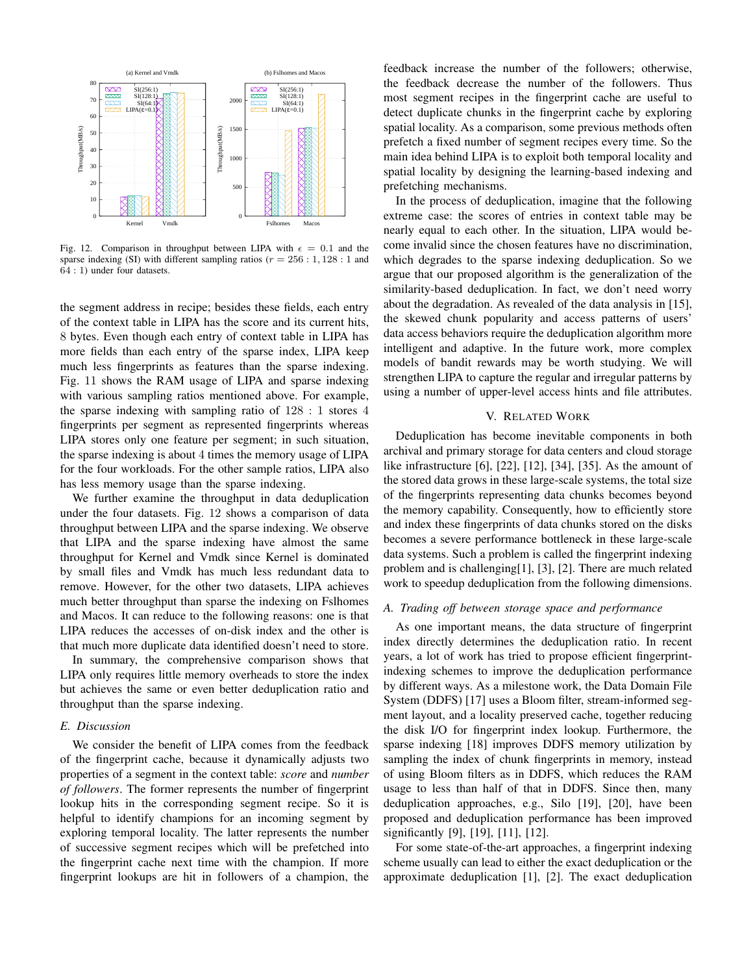

Fig. 12. Comparison in throughput between LIPA with  $\epsilon = 0.1$  and the sparse indexing (SI) with different sampling ratios ( $r = 256 : 1,128 : 1$  and 64 : 1) under four datasets.

the segment address in recipe; besides these fields, each entry of the context table in LIPA has the score and its current hits, 8 bytes. Even though each entry of context table in LIPA has more fields than each entry of the sparse index, LIPA keep much less fingerprints as features than the sparse indexing. Fig. 11 shows the RAM usage of LIPA and sparse indexing with various sampling ratios mentioned above. For example, the sparse indexing with sampling ratio of 128 : 1 stores 4 fingerprints per segment as represented fingerprints whereas LIPA stores only one feature per segment; in such situation, the sparse indexing is about 4 times the memory usage of LIPA for the four workloads. For the other sample ratios, LIPA also has less memory usage than the sparse indexing.

We further examine the throughput in data deduplication under the four datasets. Fig. 12 shows a comparison of data throughput between LIPA and the sparse indexing. We observe that LIPA and the sparse indexing have almost the same throughput for Kernel and Vmdk since Kernel is dominated by small files and Vmdk has much less redundant data to remove. However, for the other two datasets, LIPA achieves much better throughput than sparse the indexing on Fslhomes and Macos. It can reduce to the following reasons: one is that LIPA reduces the accesses of on-disk index and the other is that much more duplicate data identified doesn't need to store.

In summary, the comprehensive comparison shows that LIPA only requires little memory overheads to store the index but achieves the same or even better deduplication ratio and throughput than the sparse indexing.

## *E. Discussion*

We consider the benefit of LIPA comes from the feedback of the fingerprint cache, because it dynamically adjusts two properties of a segment in the context table: *score* and *number of followers*. The former represents the number of fingerprint lookup hits in the corresponding segment recipe. So it is helpful to identify champions for an incoming segment by exploring temporal locality. The latter represents the number of successive segment recipes which will be prefetched into the fingerprint cache next time with the champion. If more fingerprint lookups are hit in followers of a champion, the

feedback increase the number of the followers; otherwise, the feedback decrease the number of the followers. Thus most segment recipes in the fingerprint cache are useful to detect duplicate chunks in the fingerprint cache by exploring spatial locality. As a comparison, some previous methods often prefetch a fixed number of segment recipes every time. So the main idea behind LIPA is to exploit both temporal locality and spatial locality by designing the learning-based indexing and prefetching mechanisms.

In the process of deduplication, imagine that the following extreme case: the scores of entries in context table may be nearly equal to each other. In the situation, LIPA would become invalid since the chosen features have no discrimination, which degrades to the sparse indexing deduplication. So we argue that our proposed algorithm is the generalization of the similarity-based deduplication. In fact, we don't need worry about the degradation. As revealed of the data analysis in [15], the skewed chunk popularity and access patterns of users' data access behaviors require the deduplication algorithm more intelligent and adaptive. In the future work, more complex models of bandit rewards may be worth studying. We will strengthen LIPA to capture the regular and irregular patterns by using a number of upper-level access hints and file attributes.

#### V. RELATED WORK

Deduplication has become inevitable components in both archival and primary storage for data centers and cloud storage like infrastructure [6], [22], [12], [34], [35]. As the amount of the stored data grows in these large-scale systems, the total size of the fingerprints representing data chunks becomes beyond the memory capability. Consequently, how to efficiently store and index these fingerprints of data chunks stored on the disks becomes a severe performance bottleneck in these large-scale data systems. Such a problem is called the fingerprint indexing problem and is challenging[1], [3], [2]. There are much related work to speedup deduplication from the following dimensions.

## *A. Trading off between storage space and performance*

As one important means, the data structure of fingerprint index directly determines the deduplication ratio. In recent years, a lot of work has tried to propose efficient fingerprintindexing schemes to improve the deduplication performance by different ways. As a milestone work, the Data Domain File System (DDFS) [17] uses a Bloom filter, stream-informed segment layout, and a locality preserved cache, together reducing the disk I/O for fingerprint index lookup. Furthermore, the sparse indexing [18] improves DDFS memory utilization by sampling the index of chunk fingerprints in memory, instead of using Bloom filters as in DDFS, which reduces the RAM usage to less than half of that in DDFS. Since then, many deduplication approaches, e.g., Silo [19], [20], have been proposed and deduplication performance has been improved significantly [9], [19], [11], [12].

For some state-of-the-art approaches, a fingerprint indexing scheme usually can lead to either the exact deduplication or the approximate deduplication [1], [2]. The exact deduplication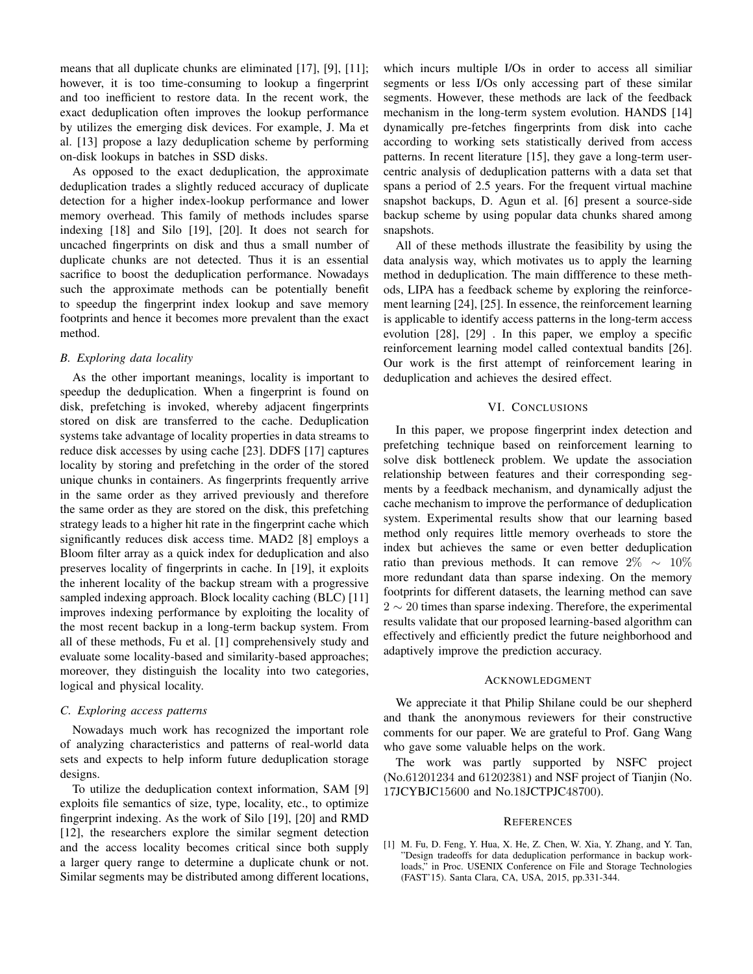means that all duplicate chunks are eliminated [17], [9], [11]; however, it is too time-consuming to lookup a fingerprint and too inefficient to restore data. In the recent work, the exact deduplication often improves the lookup performance by utilizes the emerging disk devices. For example, J. Ma et al. [13] propose a lazy deduplication scheme by performing on-disk lookups in batches in SSD disks.

As opposed to the exact deduplication, the approximate deduplication trades a slightly reduced accuracy of duplicate detection for a higher index-lookup performance and lower memory overhead. This family of methods includes sparse indexing [18] and Silo [19], [20]. It does not search for uncached fingerprints on disk and thus a small number of duplicate chunks are not detected. Thus it is an essential sacrifice to boost the deduplication performance. Nowadays such the approximate methods can be potentially benefit to speedup the fingerprint index lookup and save memory footprints and hence it becomes more prevalent than the exact method.

## *B. Exploring data locality*

As the other important meanings, locality is important to speedup the deduplication. When a fingerprint is found on disk, prefetching is invoked, whereby adjacent fingerprints stored on disk are transferred to the cache. Deduplication systems take advantage of locality properties in data streams to reduce disk accesses by using cache [23]. DDFS [17] captures locality by storing and prefetching in the order of the stored unique chunks in containers. As fingerprints frequently arrive in the same order as they arrived previously and therefore the same order as they are stored on the disk, this prefetching strategy leads to a higher hit rate in the fingerprint cache which significantly reduces disk access time. MAD2 [8] employs a Bloom filter array as a quick index for deduplication and also preserves locality of fingerprints in cache. In [19], it exploits the inherent locality of the backup stream with a progressive sampled indexing approach. Block locality caching (BLC) [11] improves indexing performance by exploiting the locality of the most recent backup in a long-term backup system. From all of these methods, Fu et al. [1] comprehensively study and evaluate some locality-based and similarity-based approaches; moreover, they distinguish the locality into two categories, logical and physical locality.

## *C. Exploring access patterns*

Nowadays much work has recognized the important role of analyzing characteristics and patterns of real-world data sets and expects to help inform future deduplication storage designs.

To utilize the deduplication context information, SAM [9] exploits file semantics of size, type, locality, etc., to optimize fingerprint indexing. As the work of Silo [19], [20] and RMD [12], the researchers explore the similar segment detection and the access locality becomes critical since both supply a larger query range to determine a duplicate chunk or not. Similar segments may be distributed among different locations,

which incurs multiple I/Os in order to access all similiar segments or less I/Os only accessing part of these similar segments. However, these methods are lack of the feedback mechanism in the long-term system evolution. HANDS [14] dynamically pre-fetches fingerprints from disk into cache according to working sets statistically derived from access patterns. In recent literature [15], they gave a long-term usercentric analysis of deduplication patterns with a data set that spans a period of 2.5 years. For the frequent virtual machine snapshot backups, D. Agun et al. [6] present a source-side backup scheme by using popular data chunks shared among snapshots.

All of these methods illustrate the feasibility by using the data analysis way, which motivates us to apply the learning method in deduplication. The main diffference to these methods, LIPA has a feedback scheme by exploring the reinforcement learning [24], [25]. In essence, the reinforcement learning is applicable to identify access patterns in the long-term access evolution [28], [29] . In this paper, we employ a specific reinforcement learning model called contextual bandits [26]. Our work is the first attempt of reinforcement learing in deduplication and achieves the desired effect.

## VI. CONCLUSIONS

In this paper, we propose fingerprint index detection and prefetching technique based on reinforcement learning to solve disk bottleneck problem. We update the association relationship between features and their corresponding segments by a feedback mechanism, and dynamically adjust the cache mechanism to improve the performance of deduplication system. Experimental results show that our learning based method only requires little memory overheads to store the index but achieves the same or even better deduplication ratio than previous methods. It can remove 2%  $\sim 10\%$ more redundant data than sparse indexing. On the memory footprints for different datasets, the learning method can save  $2 \sim 20$  times than sparse indexing. Therefore, the experimental results validate that our proposed learning-based algorithm can effectively and efficiently predict the future neighborhood and adaptively improve the prediction accuracy.

#### ACKNOWLEDGMENT

We appreciate it that Philip Shilane could be our shepherd and thank the anonymous reviewers for their constructive comments for our paper. We are grateful to Prof. Gang Wang who gave some valuable helps on the work.

The work was partly supported by NSFC project (No.61201234 and 61202381) and NSF project of Tianjin (No. 17JCYBJC15600 and No.18JCTPJC48700).

#### **REFERENCES**

[1] M. Fu, D. Feng, Y. Hua, X. He, Z. Chen, W. Xia, Y. Zhang, and Y. Tan, "Design tradeoffs for data deduplication performance in backup workloads," in Proc. USENIX Conference on File and Storage Technologies (FAST'15). Santa Clara, CA, USA, 2015, pp.331-344.